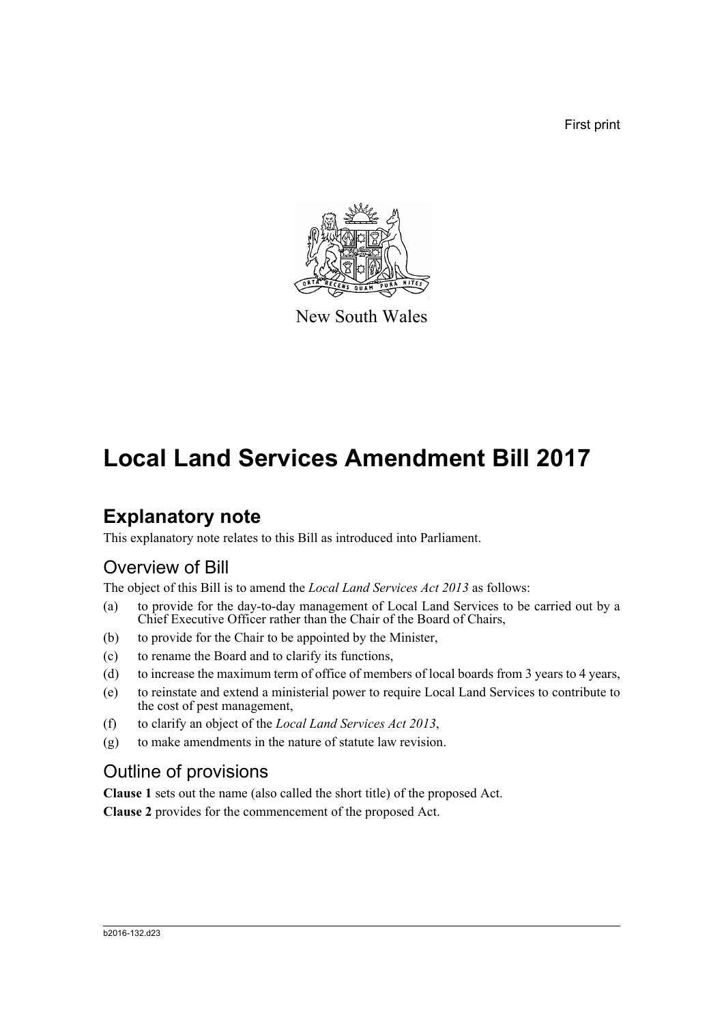First print



New South Wales

# **Local Land Services Amendment Bill 2017**

## **Explanatory note**

This explanatory note relates to this Bill as introduced into Parliament.

### Overview of Bill

The object of this Bill is to amend the *Local Land Services Act 2013* as follows:

- (a) to provide for the day-to-day management of Local Land Services to be carried out by a Chief Executive Officer rather than the Chair of the Board of Chairs,
- (b) to provide for the Chair to be appointed by the Minister,
- (c) to rename the Board and to clarify its functions,
- (d) to increase the maximum term of office of members of local boards from 3 years to 4 years,
- (e) to reinstate and extend a ministerial power to require Local Land Services to contribute to the cost of pest management,
- (f) to clarify an object of the *Local Land Services Act 2013*,
- (g) to make amendments in the nature of statute law revision.

### Outline of provisions

**Clause 1** sets out the name (also called the short title) of the proposed Act. **Clause 2** provides for the commencement of the proposed Act.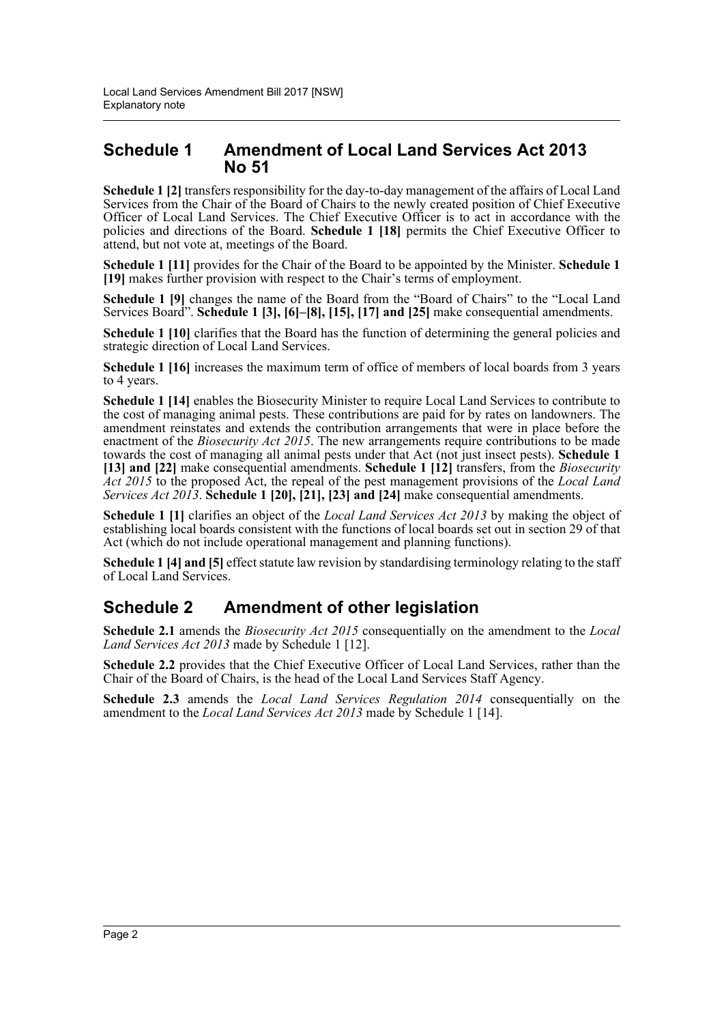### **Schedule 1 Amendment of Local Land Services Act 2013 No 51**

**Schedule 1 [2]** transfers responsibility for the day-to-day management of the affairs of Local Land Services from the Chair of the Board of Chairs to the newly created position of Chief Executive Officer of Local Land Services. The Chief Executive Officer is to act in accordance with the policies and directions of the Board. **Schedule 1 [18]** permits the Chief Executive Officer to attend, but not vote at, meetings of the Board.

**Schedule 1 [11]** provides for the Chair of the Board to be appointed by the Minister. **Schedule 1 [19]** makes further provision with respect to the Chair's terms of employment.

**Schedule 1 [9]** changes the name of the Board from the "Board of Chairs" to the "Local Land Services Board". **Schedule 1 [3], [6]–[8], [15], [17] and [25]** make consequential amendments.

**Schedule 1 [10]** clarifies that the Board has the function of determining the general policies and strategic direction of Local Land Services.

**Schedule 1 [16]** increases the maximum term of office of members of local boards from 3 years to 4 years.

**Schedule 1 [14]** enables the Biosecurity Minister to require Local Land Services to contribute to the cost of managing animal pests. These contributions are paid for by rates on landowners. The amendment reinstates and extends the contribution arrangements that were in place before the enactment of the *Biosecurity Act 2015*. The new arrangements require contributions to be made towards the cost of managing all animal pests under that Act (not just insect pests). **Schedule 1 [13] and [22]** make consequential amendments. **Schedule 1 [12]** transfers, from the *Biosecurity Act 2015* to the proposed Act, the repeal of the pest management provisions of the *Local Land Services Act 2013*. **Schedule 1 [20], [21], [23] and [24]** make consequential amendments.

**Schedule 1 [1]** clarifies an object of the *Local Land Services Act 2013* by making the object of establishing local boards consistent with the functions of local boards set out in section 29 of that Act (which do not include operational management and planning functions).

**Schedule 1 [4] and [5]** effect statute law revision by standardising terminology relating to the staff of Local Land Services.

### **Schedule 2 Amendment of other legislation**

**Schedule 2.1** amends the *Biosecurity Act 2015* consequentially on the amendment to the *Local Land Services Act 2013* made by Schedule 1 [12].

**Schedule 2.2** provides that the Chief Executive Officer of Local Land Services, rather than the Chair of the Board of Chairs, is the head of the Local Land Services Staff Agency.

**Schedule 2.3** amends the *Local Land Services Regulation 2014* consequentially on the amendment to the *Local Land Services Act 2013* made by Schedule 1 [14].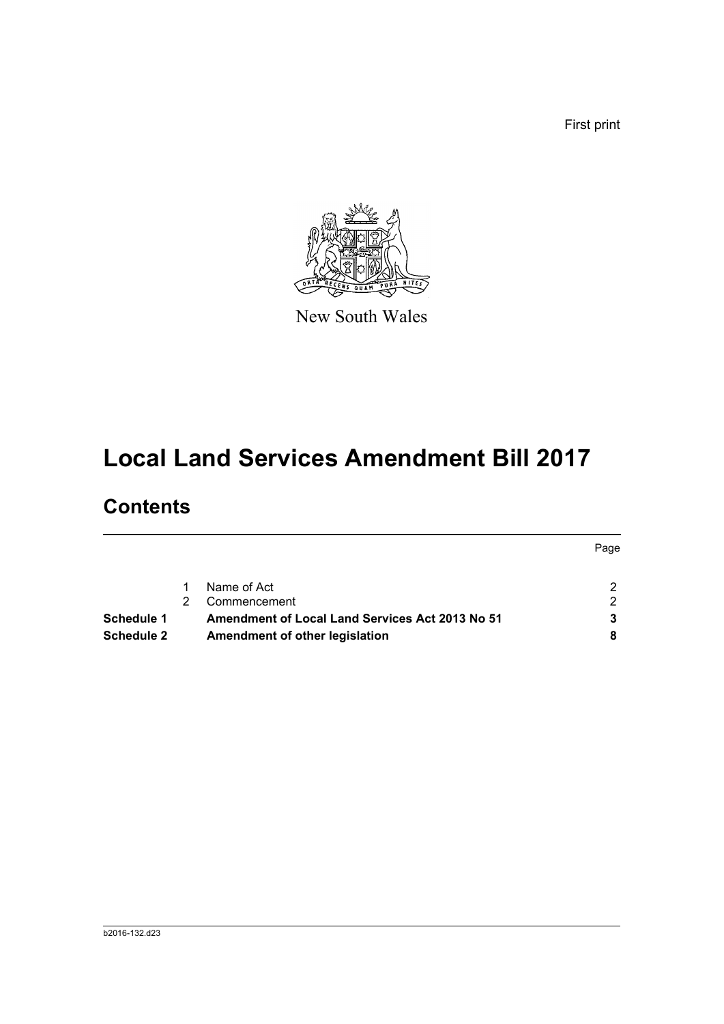First print



New South Wales

# **Local Land Services Amendment Bill 2017**

## **Contents**

|                   |                                                        |                                | Page                 |
|-------------------|--------------------------------------------------------|--------------------------------|----------------------|
|                   |                                                        | Name of Act                    | $\mathcal{P} \equiv$ |
|                   |                                                        | Commencement                   | $\mathcal{P}$        |
| Schedule 1        | <b>Amendment of Local Land Services Act 2013 No 51</b> |                                | 3                    |
| <b>Schedule 2</b> |                                                        | Amendment of other legislation | 8                    |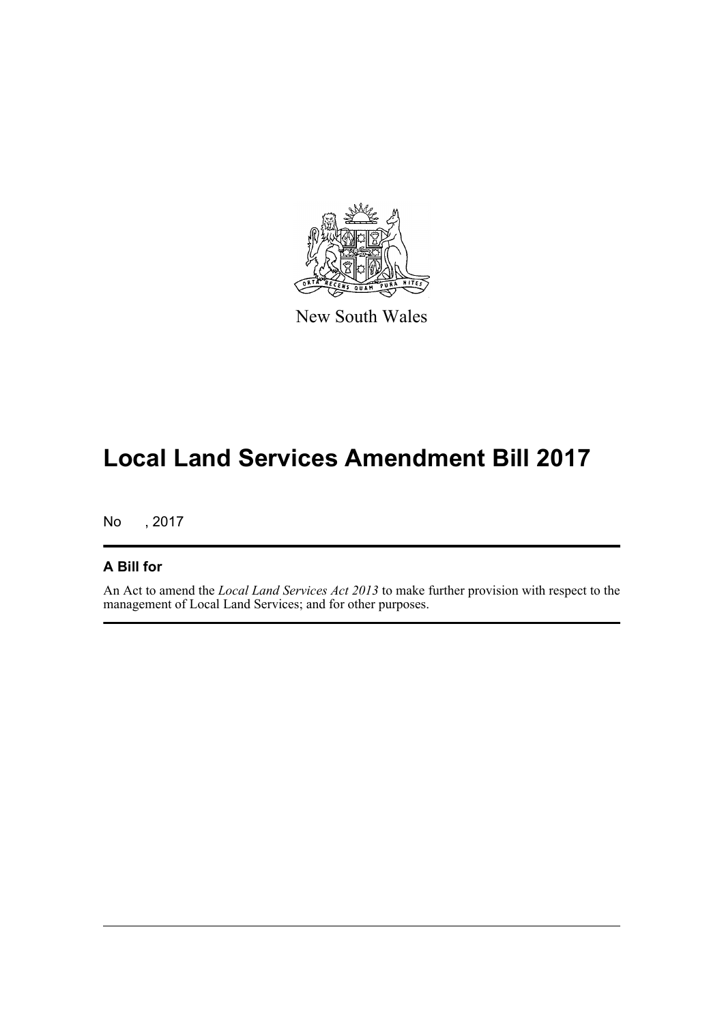

New South Wales

# **Local Land Services Amendment Bill 2017**

No , 2017

#### **A Bill for**

An Act to amend the *Local Land Services Act 2013* to make further provision with respect to the management of Local Land Services; and for other purposes.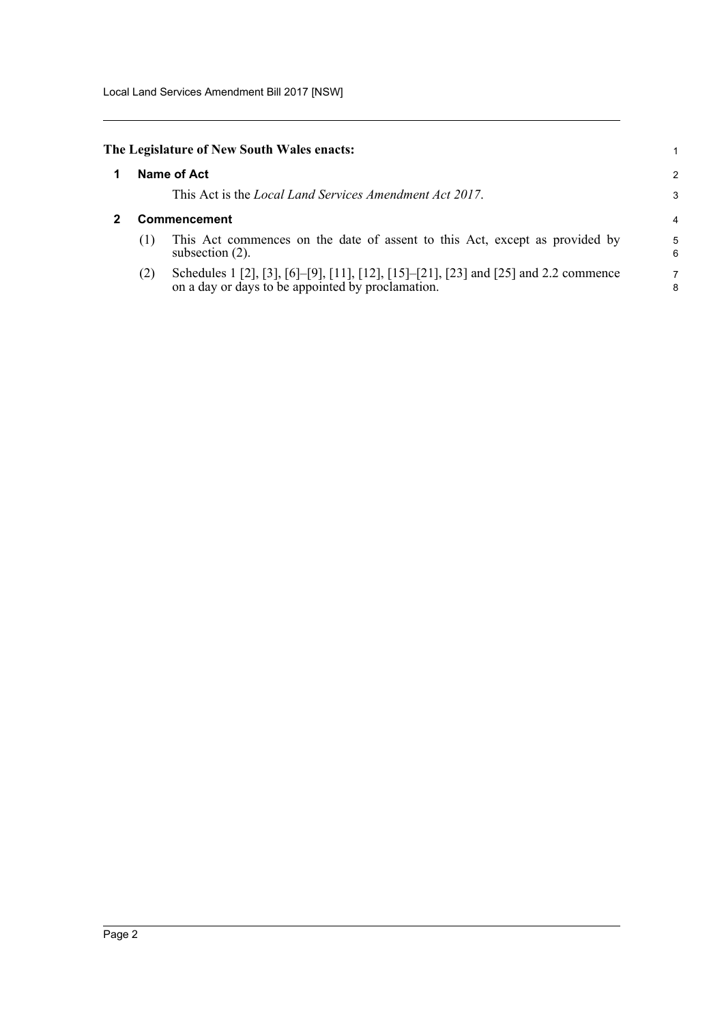#### <span id="page-4-0"></span>**The Legislature of New South Wales enacts:**

| <b>Name of Act</b><br>1 |  |
|-------------------------|--|
|-------------------------|--|

This Act is the *Local Land Services Amendment Act 2017*.

#### <span id="page-4-1"></span>**2 Commencement**

(1) This Act commences on the date of assent to this Act, except as provided by subsection (2).

1 2 3

(2) Schedules 1 [2], [3], [6]–[9], [11], [12], [15]–[21], [23] and [25] and 2.2 commence on a day or days to be appointed by proclamation.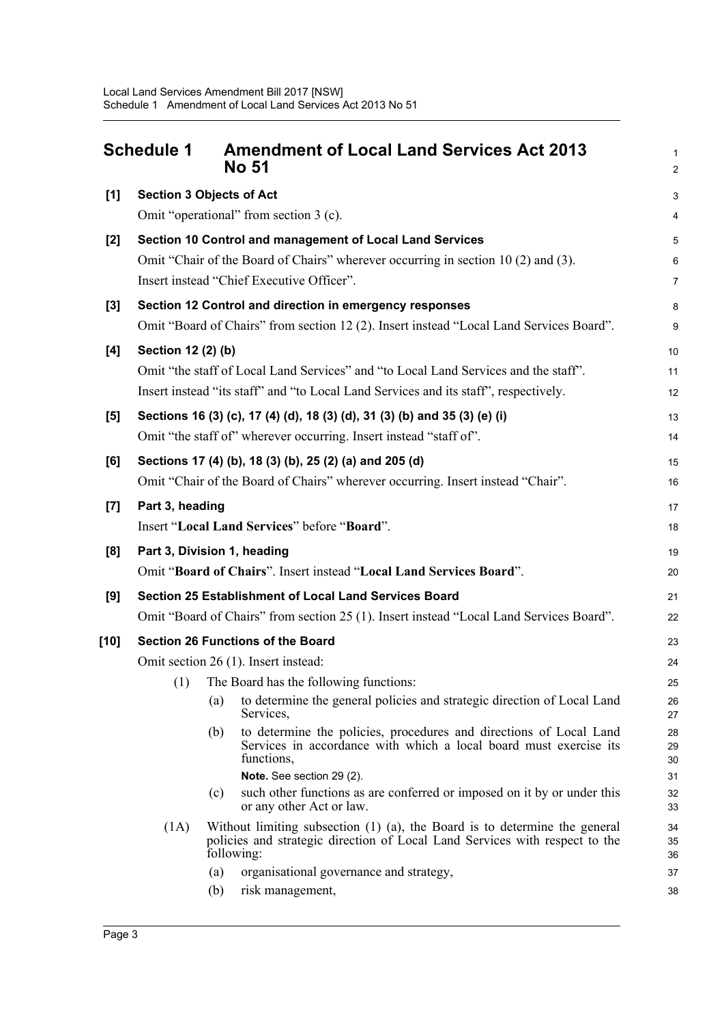<span id="page-5-0"></span>

|        | <b>Schedule 1</b>                        | <b>Amendment of Local Land Services Act 2013</b><br><b>No 51</b>                                                                                                             | $\mathbf{1}$<br>$\overline{2}$ |  |
|--------|------------------------------------------|------------------------------------------------------------------------------------------------------------------------------------------------------------------------------|--------------------------------|--|
| $[1]$  |                                          | <b>Section 3 Objects of Act</b>                                                                                                                                              | 3                              |  |
|        |                                          | Omit "operational" from section 3 (c).                                                                                                                                       | $\overline{\mathbf{4}}$        |  |
| $[2]$  |                                          | Section 10 Control and management of Local Land Services                                                                                                                     | 5                              |  |
|        |                                          | Omit "Chair of the Board of Chairs" wherever occurring in section 10 (2) and (3).                                                                                            | $6\phantom{1}$                 |  |
|        |                                          | Insert instead "Chief Executive Officer".                                                                                                                                    | $\overline{7}$                 |  |
| $[3]$  |                                          | Section 12 Control and direction in emergency responses                                                                                                                      | 8                              |  |
|        |                                          | Omit "Board of Chairs" from section 12 (2). Insert instead "Local Land Services Board".                                                                                      | 9                              |  |
| [4]    | Section 12 (2) (b)                       |                                                                                                                                                                              | 10                             |  |
|        |                                          | Omit "the staff of Local Land Services" and "to Local Land Services and the staff".                                                                                          | 11                             |  |
|        |                                          | Insert instead "its staff" and "to Local Land Services and its staff", respectively.                                                                                         | 12                             |  |
| [5]    |                                          | Sections 16 (3) (c), 17 (4) (d), 18 (3) (d), 31 (3) (b) and 35 (3) (e) (i)                                                                                                   | 13                             |  |
|        |                                          | Omit "the staff of" wherever occurring. Insert instead "staff of".                                                                                                           | 14                             |  |
| [6]    |                                          | Sections 17 (4) (b), 18 (3) (b), 25 (2) (a) and 205 (d)                                                                                                                      | 15                             |  |
|        |                                          | Omit "Chair of the Board of Chairs" wherever occurring. Insert instead "Chair".                                                                                              | 16                             |  |
| $[7]$  | Part 3, heading                          |                                                                                                                                                                              | 17                             |  |
|        |                                          | Insert "Local Land Services" before "Board".                                                                                                                                 | 18                             |  |
| [8]    |                                          | Part 3, Division 1, heading                                                                                                                                                  | 19                             |  |
|        |                                          | Omit "Board of Chairs". Insert instead "Local Land Services Board".                                                                                                          | 20                             |  |
| [9]    |                                          | Section 25 Establishment of Local Land Services Board                                                                                                                        | 21                             |  |
|        |                                          | Omit "Board of Chairs" from section 25 (1). Insert instead "Local Land Services Board".                                                                                      | 22                             |  |
| $[10]$ | <b>Section 26 Functions of the Board</b> |                                                                                                                                                                              |                                |  |
|        |                                          | Omit section 26 (1). Insert instead:                                                                                                                                         | 24                             |  |
|        |                                          | (1) The Board has the following functions:                                                                                                                                   | 25                             |  |
|        |                                          | to determine the general policies and strategic direction of Local Land<br>(a)<br>Services,                                                                                  | 26<br>27                       |  |
|        |                                          | to determine the policies, procedures and directions of Local Land<br>(b)<br>Services in accordance with which a local board must exercise its<br>functions,                 | 28<br>29<br>30                 |  |
|        |                                          | Note. See section 29 (2).                                                                                                                                                    | 31                             |  |
|        |                                          | such other functions as are conferred or imposed on it by or under this<br>(c)<br>or any other Act or law.                                                                   | 32<br>33                       |  |
|        | (1A)                                     | Without limiting subsection $(1)$ $(a)$ , the Board is to determine the general<br>policies and strategic direction of Local Land Services with respect to the<br>following: | 34<br>35<br>36                 |  |
|        |                                          | (a)<br>organisational governance and strategy,                                                                                                                               | 37                             |  |
|        |                                          | (b)<br>risk management,                                                                                                                                                      | 38                             |  |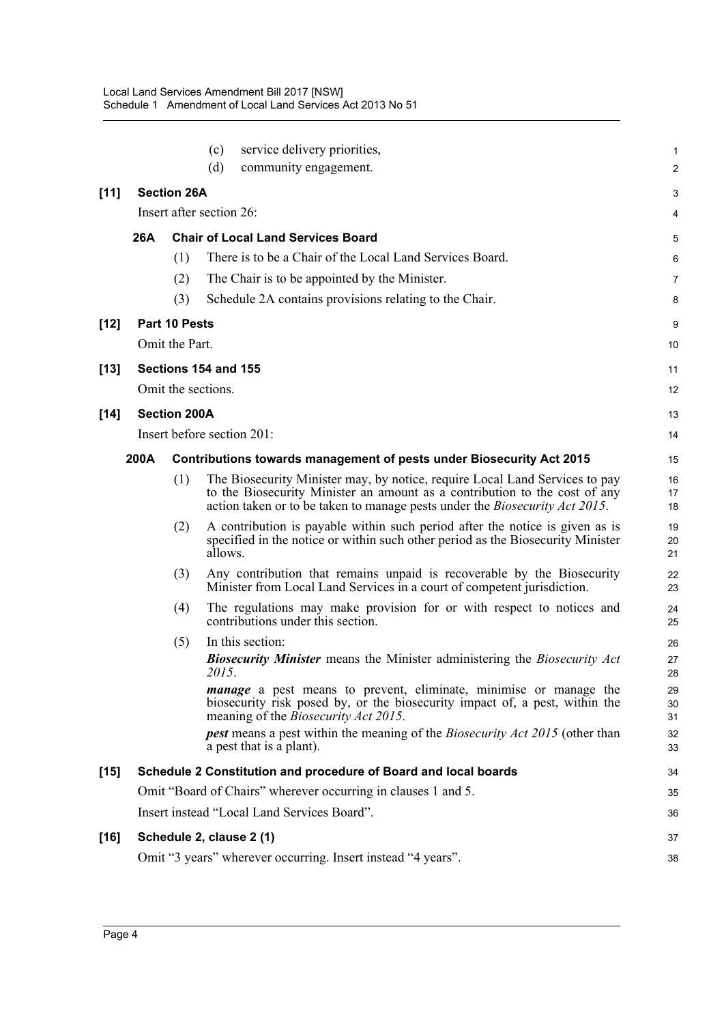|        |                                                                 |                                                              | (c)                                                                  | service delivery priorities,                                                                                                                                                                                                                     | $\mathbf{1}$   |  |  |  |
|--------|-----------------------------------------------------------------|--------------------------------------------------------------|----------------------------------------------------------------------|--------------------------------------------------------------------------------------------------------------------------------------------------------------------------------------------------------------------------------------------------|----------------|--|--|--|
|        |                                                                 |                                                              | (d)                                                                  | community engagement.                                                                                                                                                                                                                            | 2              |  |  |  |
| [11]   |                                                                 | <b>Section 26A</b>                                           |                                                                      |                                                                                                                                                                                                                                                  | 3              |  |  |  |
|        |                                                                 | Insert after section 26:                                     |                                                                      |                                                                                                                                                                                                                                                  |                |  |  |  |
|        | 26A                                                             | <b>Chair of Local Land Services Board</b>                    |                                                                      |                                                                                                                                                                                                                                                  |                |  |  |  |
|        |                                                                 | (1)                                                          |                                                                      | There is to be a Chair of the Local Land Services Board.                                                                                                                                                                                         | 6              |  |  |  |
|        |                                                                 | (2)                                                          |                                                                      | The Chair is to be appointed by the Minister.                                                                                                                                                                                                    | 7              |  |  |  |
|        |                                                                 | (3)                                                          |                                                                      | Schedule 2A contains provisions relating to the Chair.                                                                                                                                                                                           | 8              |  |  |  |
| $[12]$ |                                                                 | Part 10 Pests                                                |                                                                      |                                                                                                                                                                                                                                                  |                |  |  |  |
|        |                                                                 | Omit the Part.                                               |                                                                      |                                                                                                                                                                                                                                                  | 10             |  |  |  |
| $[13]$ |                                                                 | Sections 154 and 155                                         |                                                                      |                                                                                                                                                                                                                                                  | 11             |  |  |  |
|        |                                                                 | Omit the sections.                                           |                                                                      |                                                                                                                                                                                                                                                  | 12             |  |  |  |
| $[14]$ | <b>Section 200A</b>                                             |                                                              |                                                                      |                                                                                                                                                                                                                                                  |                |  |  |  |
|        |                                                                 |                                                              |                                                                      | Insert before section 201:                                                                                                                                                                                                                       | 14             |  |  |  |
|        | 200A                                                            |                                                              | Contributions towards management of pests under Biosecurity Act 2015 |                                                                                                                                                                                                                                                  |                |  |  |  |
|        |                                                                 | (1)                                                          |                                                                      | The Biosecurity Minister may, by notice, require Local Land Services to pay<br>to the Biosecurity Minister an amount as a contribution to the cost of any<br>action taken or to be taken to manage pests under the <i>Biosecurity Act 2015</i> . | 16<br>17<br>18 |  |  |  |
|        |                                                                 | (2)                                                          | allows.                                                              | A contribution is payable within such period after the notice is given as is<br>specified in the notice or within such other period as the Biosecurity Minister                                                                                  | 19<br>20<br>21 |  |  |  |
|        |                                                                 | (3)                                                          |                                                                      | Any contribution that remains unpaid is recoverable by the Biosecurity<br>Minister from Local Land Services in a court of competent jurisdiction.                                                                                                | 22<br>23       |  |  |  |
|        |                                                                 | (4)                                                          |                                                                      | The regulations may make provision for or with respect to notices and<br>contributions under this section.                                                                                                                                       | 24<br>25       |  |  |  |
|        |                                                                 | (5)                                                          | 2015.                                                                | In this section:<br><b>Biosecurity Minister</b> means the Minister administering the Biosecurity Act                                                                                                                                             | 26<br>27<br>28 |  |  |  |
|        |                                                                 |                                                              |                                                                      | <i>manage</i> a pest means to prevent, eliminate, minimise or manage the<br>biosecurity risk posed by, or the biosecurity impact of, a pest, within the<br>meaning of the <i>Biosecurity Act 2015</i> .                                          | 29<br>30<br>31 |  |  |  |
|        |                                                                 |                                                              |                                                                      | <b>pest</b> means a pest within the meaning of the <i>Biosecurity Act 2015</i> (other than<br>a pest that is a plant).                                                                                                                           | 32<br>33       |  |  |  |
| $[15]$ | Schedule 2 Constitution and procedure of Board and local boards |                                                              |                                                                      |                                                                                                                                                                                                                                                  |                |  |  |  |
|        | Omit "Board of Chairs" wherever occurring in clauses 1 and 5.   |                                                              |                                                                      |                                                                                                                                                                                                                                                  |                |  |  |  |
|        |                                                                 |                                                              |                                                                      | Insert instead "Local Land Services Board".                                                                                                                                                                                                      | 36             |  |  |  |
| $[16]$ | Schedule 2, clause 2 (1)                                        |                                                              |                                                                      |                                                                                                                                                                                                                                                  |                |  |  |  |
|        |                                                                 | Omit "3 years" wherever occurring. Insert instead "4 years". |                                                                      |                                                                                                                                                                                                                                                  |                |  |  |  |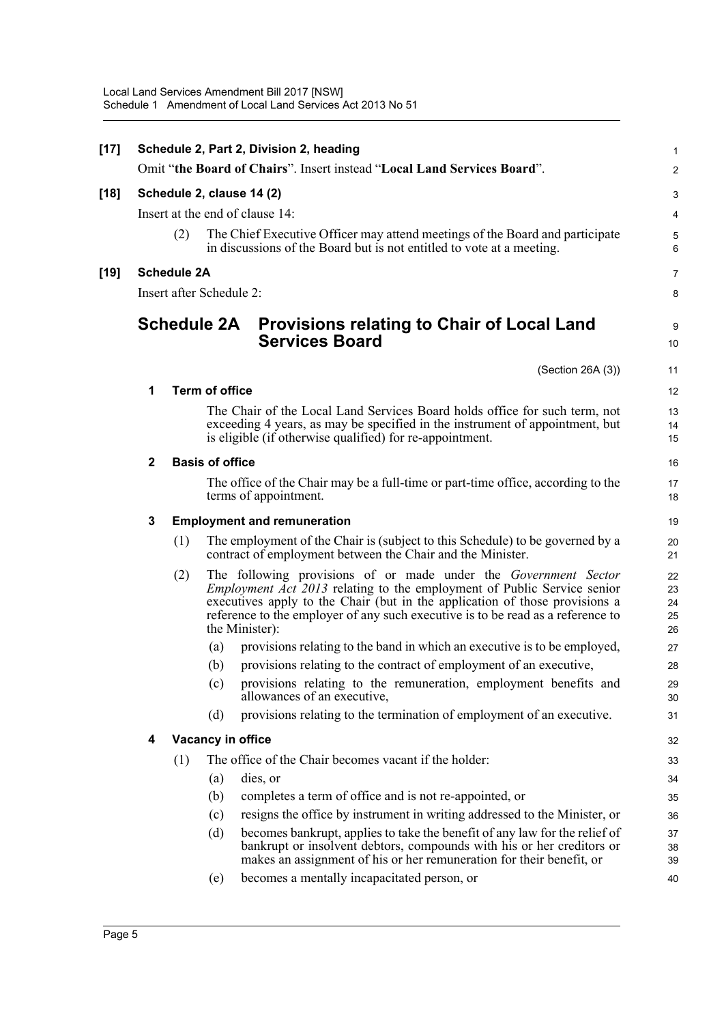| $[17]$ |                                 |                    |                        | Schedule 2, Part 2, Division 2, heading                                                                                                                                                                                                                                                                             | $\mathbf{1}$               |  |  |  |  |
|--------|---------------------------------|--------------------|------------------------|---------------------------------------------------------------------------------------------------------------------------------------------------------------------------------------------------------------------------------------------------------------------------------------------------------------------|----------------------------|--|--|--|--|
|        |                                 |                    |                        | Omit "the Board of Chairs". Insert instead "Local Land Services Board".                                                                                                                                                                                                                                             | 2                          |  |  |  |  |
| $[18]$ | Schedule 2, clause 14 (2)       |                    |                        |                                                                                                                                                                                                                                                                                                                     |                            |  |  |  |  |
|        | Insert at the end of clause 14: |                    |                        |                                                                                                                                                                                                                                                                                                                     |                            |  |  |  |  |
|        |                                 | (2)                |                        | The Chief Executive Officer may attend meetings of the Board and participate<br>in discussions of the Board but is not entitled to vote at a meeting.                                                                                                                                                               | $\mathbf 5$<br>6           |  |  |  |  |
| $[19]$ | <b>Schedule 2A</b>              |                    |                        |                                                                                                                                                                                                                                                                                                                     |                            |  |  |  |  |
|        | Insert after Schedule 2:        |                    |                        |                                                                                                                                                                                                                                                                                                                     |                            |  |  |  |  |
|        |                                 | <b>Schedule 2A</b> |                        | <b>Provisions relating to Chair of Local Land</b><br><b>Services Board</b>                                                                                                                                                                                                                                          | 9<br>10                    |  |  |  |  |
|        |                                 |                    |                        | (Section 26A (3))                                                                                                                                                                                                                                                                                                   | 11                         |  |  |  |  |
|        | 1                               |                    | <b>Term of office</b>  |                                                                                                                                                                                                                                                                                                                     | 12                         |  |  |  |  |
|        |                                 |                    |                        | The Chair of the Local Land Services Board holds office for such term, not<br>exceeding 4 years, as may be specified in the instrument of appointment, but<br>is eligible (if otherwise qualified) for re-appointment.                                                                                              | 13<br>14<br>15             |  |  |  |  |
|        | $\mathbf{2}$                    |                    | <b>Basis of office</b> |                                                                                                                                                                                                                                                                                                                     | 16                         |  |  |  |  |
|        |                                 |                    |                        | The office of the Chair may be a full-time or part-time office, according to the<br>terms of appointment.                                                                                                                                                                                                           | 17<br>18                   |  |  |  |  |
|        | 3                               |                    |                        | <b>Employment and remuneration</b>                                                                                                                                                                                                                                                                                  | 19                         |  |  |  |  |
|        |                                 | (1)                |                        | The employment of the Chair is (subject to this Schedule) to be governed by a<br>contract of employment between the Chair and the Minister.                                                                                                                                                                         | 20<br>21                   |  |  |  |  |
|        |                                 | (2)                | the Minister):         | The following provisions of or made under the Government Sector<br><i>Employment Act 2013</i> relating to the employment of Public Service senior<br>executives apply to the Chair (but in the application of those provisions a<br>reference to the employer of any such executive is to be read as a reference to | 22<br>23<br>24<br>25<br>26 |  |  |  |  |
|        |                                 |                    | (a)                    | provisions relating to the band in which an executive is to be employed,                                                                                                                                                                                                                                            | 27                         |  |  |  |  |
|        |                                 |                    | (b)                    | provisions relating to the contract of employment of an executive,                                                                                                                                                                                                                                                  | 28                         |  |  |  |  |
|        |                                 |                    |                        | (c) provisions relating to the remuneration, employment benefits and<br>allowances of an executive,                                                                                                                                                                                                                 | 29<br>30                   |  |  |  |  |
|        |                                 |                    | (d)                    | provisions relating to the termination of employment of an executive.                                                                                                                                                                                                                                               | 31                         |  |  |  |  |
|        | 4                               | Vacancy in office  |                        |                                                                                                                                                                                                                                                                                                                     |                            |  |  |  |  |
|        |                                 | (1)                |                        | The office of the Chair becomes vacant if the holder:                                                                                                                                                                                                                                                               | 33                         |  |  |  |  |
|        |                                 |                    | (a)                    | dies, or                                                                                                                                                                                                                                                                                                            | 34                         |  |  |  |  |
|        |                                 |                    | (b)                    | completes a term of office and is not re-appointed, or                                                                                                                                                                                                                                                              | 35                         |  |  |  |  |
|        |                                 |                    | (c)                    | resigns the office by instrument in writing addressed to the Minister, or                                                                                                                                                                                                                                           | 36                         |  |  |  |  |
|        |                                 |                    | (d)                    | becomes bankrupt, applies to take the benefit of any law for the relief of<br>bankrupt or insolvent debtors, compounds with his or her creditors or<br>makes an assignment of his or her remuneration for their benefit, or                                                                                         | 37<br>38<br>39             |  |  |  |  |
|        |                                 |                    | (e)                    | becomes a mentally incapacitated person, or                                                                                                                                                                                                                                                                         | 40                         |  |  |  |  |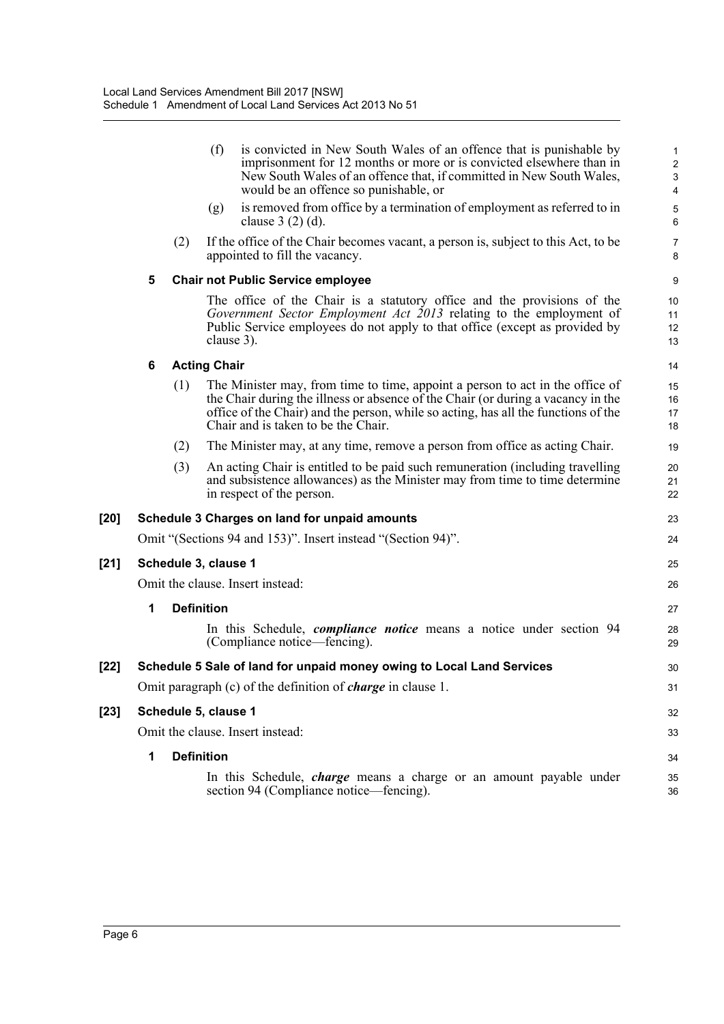|        |                                                                       |                                          | (f)                              | is convicted in New South Wales of an offence that is punishable by<br>imprisonment for 12 months or more or is convicted elsewhere than in<br>New South Wales of an offence that, if committed in New South Wales,<br>would be an offence so punishable, or                                   | 1<br>$\overline{\mathbf{c}}$<br>3<br>$\overline{\mathbf{4}}$ |  |  |
|--------|-----------------------------------------------------------------------|------------------------------------------|----------------------------------|------------------------------------------------------------------------------------------------------------------------------------------------------------------------------------------------------------------------------------------------------------------------------------------------|--------------------------------------------------------------|--|--|
|        |                                                                       |                                          | (g)                              | is removed from office by a termination of employment as referred to in<br>clause $3(2)(d)$ .                                                                                                                                                                                                  | 5<br>6                                                       |  |  |
|        |                                                                       | (2)                                      |                                  | If the office of the Chair becomes vacant, a person is, subject to this Act, to be<br>appointed to fill the vacancy.                                                                                                                                                                           | 7<br>8                                                       |  |  |
|        | 5                                                                     | <b>Chair not Public Service employee</b> |                                  |                                                                                                                                                                                                                                                                                                |                                                              |  |  |
|        |                                                                       |                                          |                                  | The office of the Chair is a statutory office and the provisions of the<br>Government Sector Employment Act 2013 relating to the employment of<br>Public Service employees do not apply to that office (except as provided by<br>clause 3).                                                    | 10<br>11<br>12<br>13                                         |  |  |
|        | 6                                                                     |                                          | <b>Acting Chair</b>              |                                                                                                                                                                                                                                                                                                | 14                                                           |  |  |
|        |                                                                       | (1)                                      |                                  | The Minister may, from time to time, appoint a person to act in the office of<br>the Chair during the illness or absence of the Chair (or during a vacancy in the<br>office of the Chair) and the person, while so acting, has all the functions of the<br>Chair and is taken to be the Chair. | 15<br>16<br>17<br>18                                         |  |  |
|        |                                                                       | (2)                                      |                                  | The Minister may, at any time, remove a person from office as acting Chair.                                                                                                                                                                                                                    | 19                                                           |  |  |
|        |                                                                       | (3)                                      |                                  | An acting Chair is entitled to be paid such remuneration (including travelling<br>and subsistence allowances) as the Minister may from time to time determine<br>in respect of the person.                                                                                                     | 20<br>21<br>22                                               |  |  |
| $[20]$ |                                                                       |                                          |                                  | Schedule 3 Charges on land for unpaid amounts                                                                                                                                                                                                                                                  | 23                                                           |  |  |
|        |                                                                       |                                          |                                  | Omit "(Sections 94 and 153)". Insert instead "(Section 94)".                                                                                                                                                                                                                                   | 24                                                           |  |  |
| $[21]$ | Schedule 3, clause 1                                                  |                                          |                                  |                                                                                                                                                                                                                                                                                                |                                                              |  |  |
|        | Omit the clause. Insert instead:                                      |                                          |                                  |                                                                                                                                                                                                                                                                                                |                                                              |  |  |
|        | 1                                                                     |                                          | <b>Definition</b>                |                                                                                                                                                                                                                                                                                                | 27                                                           |  |  |
|        |                                                                       |                                          |                                  | In this Schedule, <i>compliance notice</i> means a notice under section 94<br>(Compliance notice—fencing).                                                                                                                                                                                     | 28<br>29                                                     |  |  |
| $[22]$ | Schedule 5 Sale of land for unpaid money owing to Local Land Services |                                          |                                  |                                                                                                                                                                                                                                                                                                |                                                              |  |  |
|        |                                                                       |                                          |                                  | Omit paragraph (c) of the definition of <i>charge</i> in clause 1.                                                                                                                                                                                                                             | 31                                                           |  |  |
| $[23]$ | Schedule 5, clause 1                                                  |                                          |                                  |                                                                                                                                                                                                                                                                                                |                                                              |  |  |
|        |                                                                       |                                          | Omit the clause. Insert instead: |                                                                                                                                                                                                                                                                                                |                                                              |  |  |
|        | 1                                                                     |                                          | <b>Definition</b>                |                                                                                                                                                                                                                                                                                                | 34                                                           |  |  |
|        |                                                                       |                                          |                                  | In this Schedule, <i>charge</i> means a charge or an amount payable under<br>section 94 (Compliance notice—fencing).                                                                                                                                                                           | 35<br>36                                                     |  |  |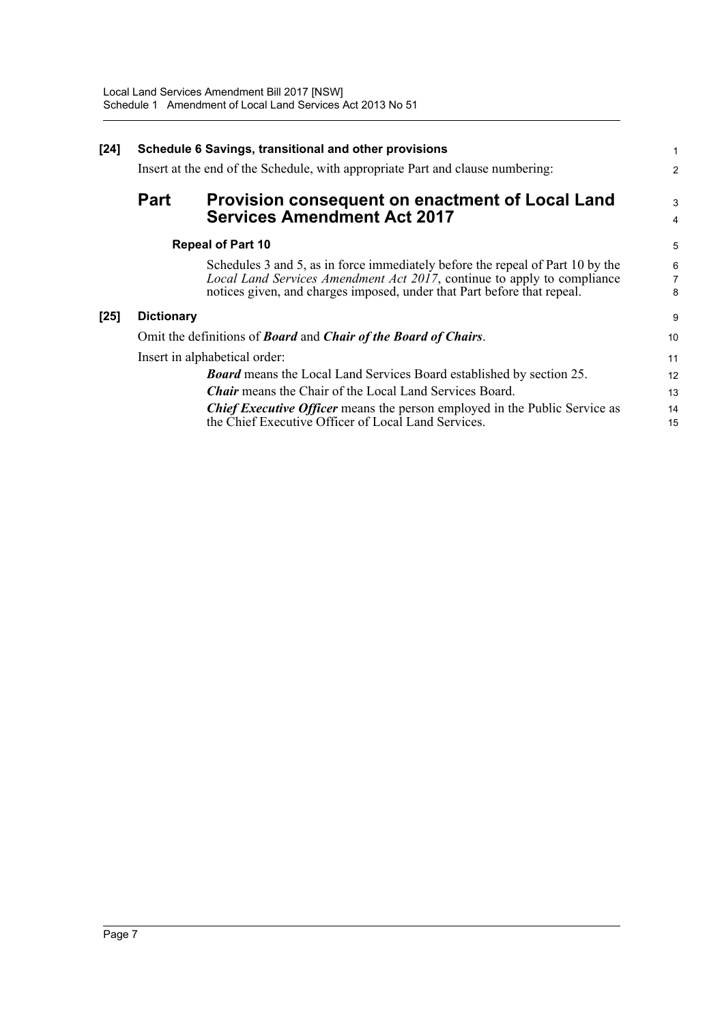| $[24]$ | Schedule 6 Savings, transitional and other provisions                          |                                                                                                                                                                                                                                      |          |  |  |
|--------|--------------------------------------------------------------------------------|--------------------------------------------------------------------------------------------------------------------------------------------------------------------------------------------------------------------------------------|----------|--|--|
|        | Insert at the end of the Schedule, with appropriate Part and clause numbering: |                                                                                                                                                                                                                                      |          |  |  |
|        | <b>Part</b>                                                                    | Provision consequent on enactment of Local Land<br><b>Services Amendment Act 2017</b>                                                                                                                                                | 3<br>4   |  |  |
|        | <b>Repeal of Part 10</b>                                                       |                                                                                                                                                                                                                                      |          |  |  |
|        |                                                                                | Schedules 3 and 5, as in force immediately before the repeal of Part 10 by the<br>Local Land Services Amendment Act 2017, continue to apply to compliance<br>notices given, and charges imposed, under that Part before that repeal. | 6<br>8   |  |  |
| $[25]$ | <b>Dictionary</b>                                                              |                                                                                                                                                                                                                                      | 9        |  |  |
|        | Omit the definitions of <b>Board</b> and <i>Chair of the Board of Chairs</i> . |                                                                                                                                                                                                                                      |          |  |  |
|        | Insert in alphabetical order:                                                  |                                                                                                                                                                                                                                      |          |  |  |
|        |                                                                                | <b>Board</b> means the Local Land Services Board established by section 25.                                                                                                                                                          | 12       |  |  |
|        |                                                                                | <b>Chair</b> means the Chair of the Local Land Services Board.                                                                                                                                                                       | 13       |  |  |
|        |                                                                                | <b>Chief Executive Officer</b> means the person employed in the Public Service as<br>the Chief Executive Officer of Local Land Services.                                                                                             | 14<br>15 |  |  |